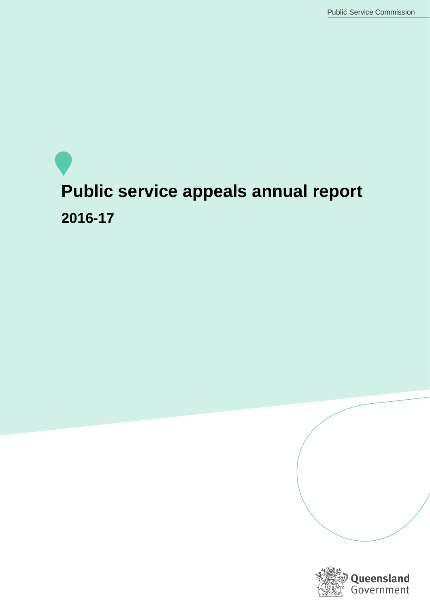# **Public service appeals annual report 2016-17**

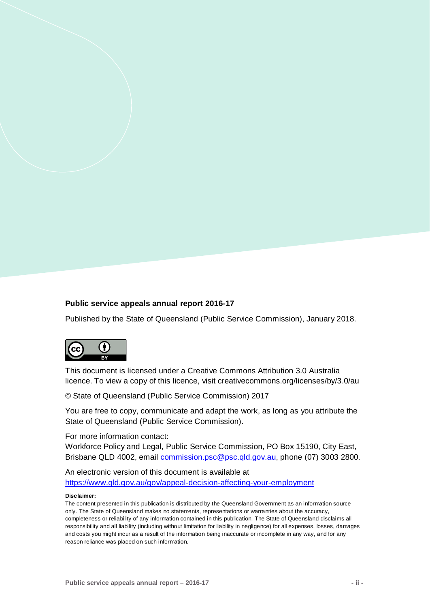#### **Public service appeals annual report 2016-17**

Published by the State of Queensland (Public Service Commission), January 2018.



This document is licensed under a Creative Commons Attribution 3.0 Australia licence. To view a copy of this licence, visit creativecommons.org/licenses/by/3.0/au

© State of Queensland (Public Service Commission) 2017

You are free to copy, communicate and adapt the work, as long as you attribute the State of Queensland (Public Service Commission).

For more information contact:

Workforce Policy and Legal, Public Service Commission, PO Box 15190, City East, Brisbane QLD 4002, email [commission.psc@psc.qld.gov.au,](mailto:commission.psc@psc.qld.gov.au) phone (07) 3003 2800.

An electronic version of this document is available at <https://www.qld.gov.au/gov/appeal-decision-affecting-your-employment>

#### **Disclaimer:**

The content presented in this publication is distributed by the Queensland Government as an information source only. The State of Queensland makes no statements, representations or warranties about the accuracy, completeness or reliability of any information contained in this publication. The State of Queensland disclaims all responsibility and all liability (including without limitation for liability in negligence) for all expenses, losses, damages and costs you might incur as a result of the information being inaccurate or incomplete in any way, and for any reason reliance was placed on such information.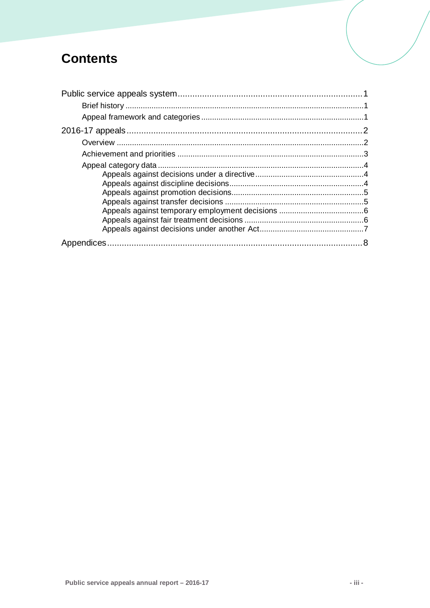# **Contents**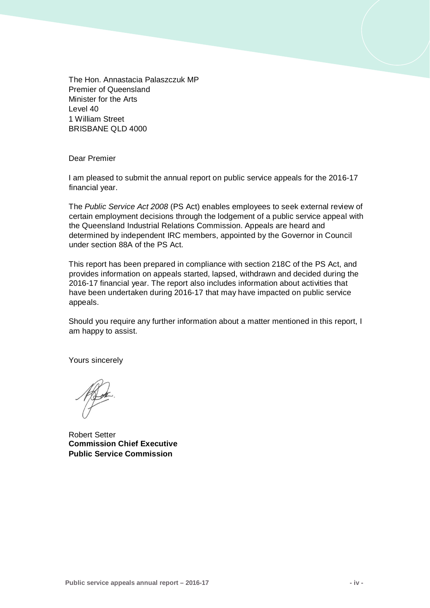The Hon. Annastacia Palaszczuk MP Premier of Queensland Minister for the Arts Level 40 1 William Street BRISBANE QLD 4000

Dear Premier

I am pleased to submit the annual report on public service appeals for the 2016-17 financial year.

The *Public Service Act 2008* (PS Act) enables employees to seek external review of certain employment decisions through the lodgement of a public service appeal with the Queensland Industrial Relations Commission. Appeals are heard and determined by independent IRC members, appointed by the Governor in Council under section 88A of the PS Act.

This report has been prepared in compliance with section 218C of the PS Act, and provides information on appeals started, lapsed, withdrawn and decided during the 2016-17 financial year. The report also includes information about activities that have been undertaken during 2016-17 that may have impacted on public service appeals.

Should you require any further information about a matter mentioned in this report, I am happy to assist.

Yours sincerely

Robert Setter **Commission Chief Executive Public Service Commission**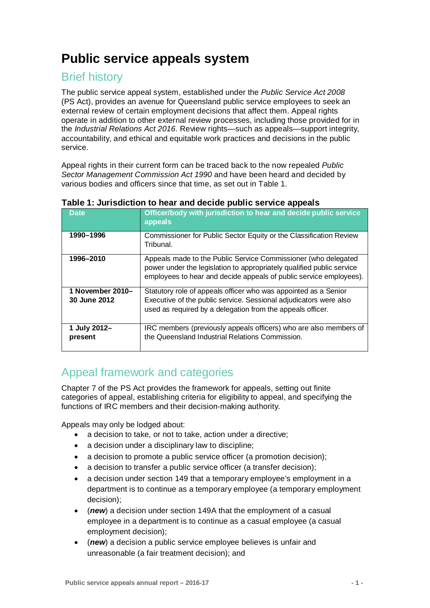# <span id="page-4-0"></span>**Public service appeals system**

# <span id="page-4-1"></span>Brief history

The public service appeal system, established under the *Public Service Act 2008* (PS Act), provides an avenue for Queensland public service employees to seek an external review of certain employment decisions that affect them. Appeal rights operate in addition to other external review processes, including those provided for in the *Industrial Relations Act 2016*. Review rights—such as appeals—support integrity, accountability, and ethical and equitable work practices and decisions in the public service.

Appeal rights in their current form can be traced back to the now repealed *Public Sector Management Commission Act 1990* and have been heard and decided by various bodies and officers since that time, as set out in Table 1.

| <b>Date</b>                      | Officer/body with jurisdiction to hear and decide public service<br>appeals                                                                                                                                   |
|----------------------------------|---------------------------------------------------------------------------------------------------------------------------------------------------------------------------------------------------------------|
| 1990-1996                        | Commissioner for Public Sector Equity or the Classification Review<br>Tribunal.                                                                                                                               |
| 1996-2010                        | Appeals made to the Public Service Commissioner (who delegated<br>power under the legislation to appropriately qualified public service<br>employees to hear and decide appeals of public service employees). |
| 1 November 2010-<br>30 June 2012 | Statutory role of appeals officer who was appointed as a Senior<br>Executive of the public service. Sessional adjudicators were also<br>used as required by a delegation from the appeals officer.            |
| 1 July 2012-<br>present          | IRC members (previously appeals officers) who are also members of<br>the Queensland Industrial Relations Commission.                                                                                          |

## **Table 1: Jurisdiction to hear and decide public service appeals**

# <span id="page-4-2"></span>Appeal framework and categories

Chapter 7 of the PS Act provides the framework for appeals, setting out finite categories of appeal, establishing criteria for eligibility to appeal, and specifying the functions of IRC members and their decision-making authority.

Appeals may only be lodged about:

- a decision to take, or not to take, action under a directive;
- a decision under a disciplinary law to discipline;
- a decision to promote a public service officer (a promotion decision);
- a decision to transfer a public service officer (a transfer decision);
- a decision under section 149 that a temporary employee's employment in a department is to continue as a temporary employee (a temporary employment decision);
- (*new*) a decision under section 149A that the employment of a casual employee in a department is to continue as a casual employee (a casual employment decision);
- (*new*) a decision a public service employee believes is unfair and unreasonable (a fair treatment decision); and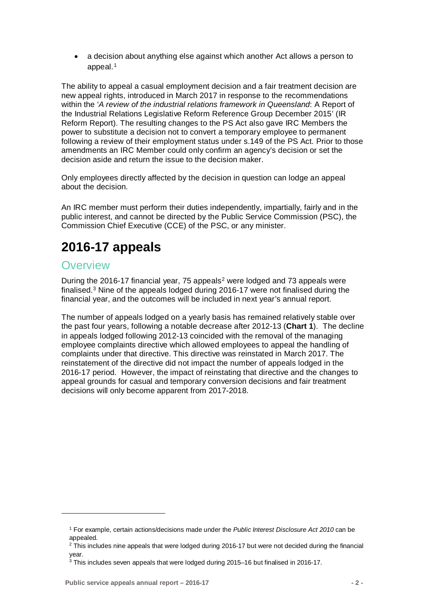• a decision about anything else against which another Act allows a person to appeal.<sup>[1](#page-5-2)</sup>

The ability to appeal a casual employment decision and a fair treatment decision are new appeal rights, introduced in March 2017 in response to the recommendations within the '*A review of the industrial relations framework in Queensland*: A Report of the Industrial Relations Legislative Reform Reference Group December 2015' (IR Reform Report). The resulting changes to the PS Act also gave IRC Members the power to substitute a decision not to convert a temporary employee to permanent following a review of their employment status under s.149 of the PS Act. Prior to those amendments an IRC Member could only confirm an agency's decision or set the decision aside and return the issue to the decision maker.

Only employees directly affected by the decision in question can lodge an appeal about the decision.

An IRC member must perform their duties independently, impartially, fairly and in the public interest, and cannot be directed by the Public Service Commission (PSC), the Commission Chief Executive (CCE) of the PSC, or any minister.

# <span id="page-5-0"></span>**2016-17 appeals**

# <span id="page-5-1"></span>**Overview**

<span id="page-5-2"></span><u>.</u>

During the [2](#page-5-3)016-17 financial year, 75 appeals<sup>2</sup> were lodged and 73 appeals were finalised.[3](#page-5-4) Nine of the appeals lodged during 2016-17 were not finalised during the financial year, and the outcomes will be included in next year's annual report.

The number of appeals lodged on a yearly basis has remained relatively stable over the past four years, following a notable decrease after 2012-13 (**Chart 1**). The decline in appeals lodged following 2012-13 coincided with the removal of the managing employee complaints directive which allowed employees to appeal the handling of complaints under that directive. This directive was reinstated in March 2017. The reinstatement of the directive did not impact the number of appeals lodged in the 2016-17 period. However, the impact of reinstating that directive and the changes to appeal grounds for casual and temporary conversion decisions and fair treatment decisions will only become apparent from 2017-2018.

<sup>1</sup> For example, certain actions/decisions made under the *Public Interest Disclosure Act 2010* can be appealed.

<span id="page-5-3"></span><sup>&</sup>lt;sup>2</sup> This includes nine appeals that were lodged during 2016-17 but were not decided during the financial year.

<span id="page-5-4"></span><sup>3</sup> This includes seven appeals that were lodged during 2015–16 but finalised in 2016-17.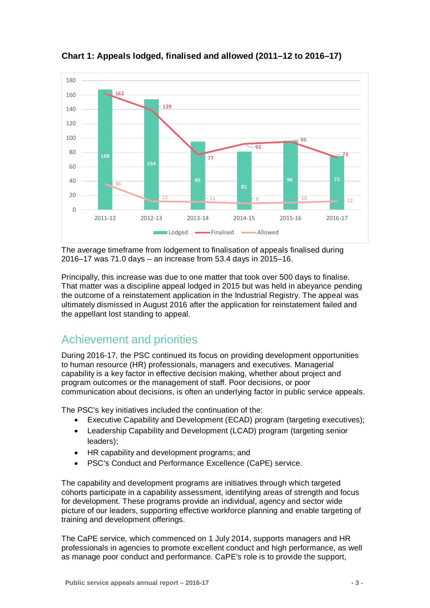

**Chart 1: Appeals lodged, finalised and allowed (2011–12 to 2016–17)**

The average timeframe from lodgement to finalisation of appeals finalised during 2016–17 was 71.0 days – an increase from 53.4 days in 2015–16.

Principally, this increase was due to one matter that took over 500 days to finalise. That matter was a discipline appeal lodged in 2015 but was held in abeyance pending the outcome of a reinstatement application in the Industrial Registry. The appeal was ultimately dismissed in August 2016 after the application for reinstatement failed and the appellant lost standing to appeal.

# <span id="page-6-0"></span>Achievement and priorities

During 2016-17, the PSC continued its focus on providing development opportunities to human resource (HR) professionals, managers and executives. Managerial capability is a key factor in effective decision making, whether about project and program outcomes or the management of staff. Poor decisions, or poor communication about decisions, is often an underlying factor in public service appeals.

The PSC's key initiatives included the continuation of the:

- Executive Capability and Development (ECAD) program (targeting executives);
- Leadership Capability and Development (LCAD) program (targeting senior leaders);
- HR capability and development programs; and
- PSC's Conduct and Performance Excellence (CaPE) service.

The capability and development programs are initiatives through which targeted cohorts participate in a capability assessment, identifying areas of strength and focus for development. These programs provide an individual, agency and sector wide picture of our leaders, supporting effective workforce planning and enable targeting of training and development offerings.

The CaPE service, which commenced on 1 July 2014, supports managers and HR professionals in agencies to promote excellent conduct and high performance, as well as manage poor conduct and performance. CaPE's role is to provide the support,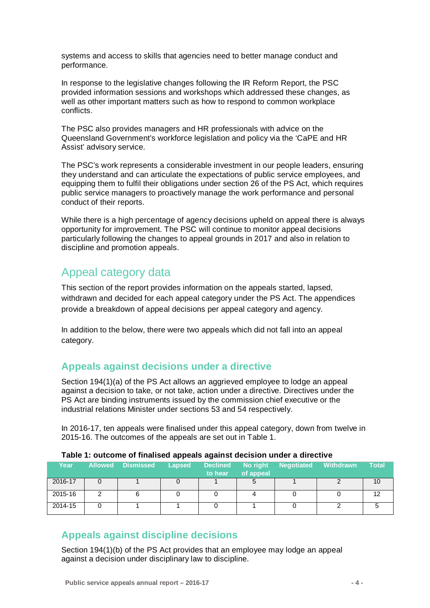systems and access to skills that agencies need to better manage conduct and performance.

In response to the legislative changes following the IR Reform Report, the PSC provided information sessions and workshops which addressed these changes, as well as other important matters such as how to respond to common workplace conflicts.

The PSC also provides managers and HR professionals with advice on the Queensland Government's workforce legislation and policy via the 'CaPE and HR Assist' advisory service.

The PSC's work represents a considerable investment in our people leaders, ensuring they understand and can articulate the expectations of public service employees, and equipping them to fulfil their obligations under section 26 of the PS Act, which requires public service managers to proactively manage the work performance and personal conduct of their reports.

While there is a high percentage of agency decisions upheld on appeal there is always opportunity for improvement. The PSC will continue to monitor appeal decisions particularly following the changes to appeal grounds in 2017 and also in relation to discipline and promotion appeals.

# <span id="page-7-0"></span>Appeal category data

This section of the report provides information on the appeals started, lapsed, withdrawn and decided for each appeal category under the PS Act. The appendices provide a breakdown of appeal decisions per appeal category and agency.

In addition to the below, there were two appeals which did not fall into an appeal category.

## <span id="page-7-1"></span>**Appeals against decisions under a directive**

Section 194(1)(a) of the PS Act allows an aggrieved employee to lodge an appeal against a decision to take, or not take, action under a directive. Directives under the PS Act are binding instruments issued by the commission chief executive or the industrial relations Minister under sections 53 and 54 respectively.

In 2016-17, ten appeals were finalised under this appeal category, down from twelve in 2015-16. The outcomes of the appeals are set out in Table 1.

|         | TANIV TI VALVVIIIV VI IIIKHOOM APPOMIO AYAIHOL AOVIOIVII AHMOL A MILOOLITO |               |                            |                       |                   |           |              |
|---------|----------------------------------------------------------------------------|---------------|----------------------------|-----------------------|-------------------|-----------|--------------|
| Year    | <b>Allowed Dismissed</b>                                                   | <b>Lapsed</b> | <b>Declined</b><br>to hear | No right<br>of appeal | <b>Negotiated</b> | Withdrawn | <b>Total</b> |
| 2016-17 |                                                                            |               |                            |                       |                   |           | 10           |
| 2015-16 |                                                                            |               |                            |                       |                   |           | 12           |
| 2014-15 |                                                                            |               |                            |                       |                   |           |              |

### **Table 1: outcome of finalised appeals against decision under a directive**

## <span id="page-7-2"></span>**Appeals against discipline decisions**

Section 194(1)(b) of the PS Act provides that an employee may lodge an appeal against a decision under disciplinary law to discipline.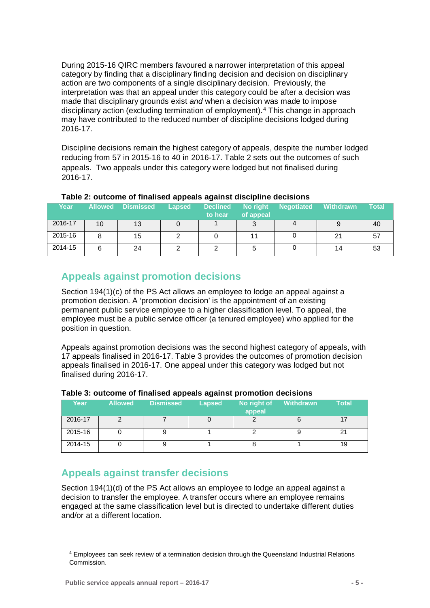During 2015-16 QIRC members favoured a narrower interpretation of this appeal category by finding that a disciplinary finding decision and decision on disciplinary action are two components of a single disciplinary decision. Previously, the interpretation was that an appeal under this category could be after a decision was made that disciplinary grounds exist *and* when a decision was made to impose disciplinary action (excluding termination of employment).[4](#page-8-2) This change in approach may have contributed to the reduced number of discipline decisions lodged during 2016-17.

Discipline decisions remain the highest category of appeals, despite the number lodged reducing from 57 in 2015-16 to 40 in 2016-17. Table 2 sets out the outcomes of such appeals. Two appeals under this category were lodged but not finalised during 2016-17.

| Year    | <b>Allowed</b> | <b>Dismissed</b> | <b>Lapsed</b> | <b>Declined</b><br>to hear | No right<br>of appeal | <b>Negotiated</b> | <b>Withdrawn</b> | Total |
|---------|----------------|------------------|---------------|----------------------------|-----------------------|-------------------|------------------|-------|
| 2016-17 | 10             | 13               |               |                            |                       |                   |                  | 40    |
| 2015-16 |                | 15               |               |                            | 11                    |                   | 21               | 57    |
| 2014-15 | 6              | 24               |               |                            |                       |                   | 14               | 53    |

#### **Table 2: outcome of finalised appeals against discipline decisions**

## <span id="page-8-0"></span>**Appeals against promotion decisions**

Section 194(1)(c) of the PS Act allows an employee to lodge an appeal against a promotion decision. A 'promotion decision' is the appointment of an existing permanent public service employee to a higher classification level. To appeal, the employee must be a public service officer (a tenured employee) who applied for the position in question.

Appeals against promotion decisions was the second highest category of appeals, with 17 appeals finalised in 2016-17. Table 3 provides the outcomes of promotion decision appeals finalised in 2016-17. One appeal under this category was lodged but not finalised during 2016-17.

| Year    | <b>Allowed</b> | <b>Dismissed</b> | <b>Lapsed</b> | No right of<br>appeal | Withdrawn | <b>Total</b> |
|---------|----------------|------------------|---------------|-----------------------|-----------|--------------|
| 2016-17 |                |                  |               |                       |           |              |
| 2015-16 |                |                  |               |                       |           |              |
| 2014-15 |                |                  |               |                       |           | 19           |

#### **Table 3: outcome of finalised appeals against promotion decisions**

## <span id="page-8-1"></span>**Appeals against transfer decisions**

Section 194(1)(d) of the PS Act allows an employee to lodge an appeal against a decision to transfer the employee. A transfer occurs where an employee remains engaged at the same classification level but is directed to undertake different duties and/or at a different location.

<span id="page-8-2"></span><u>.</u>

<sup>4</sup> Employees can seek review of a termination decision through the Queensland Industrial Relations Commission.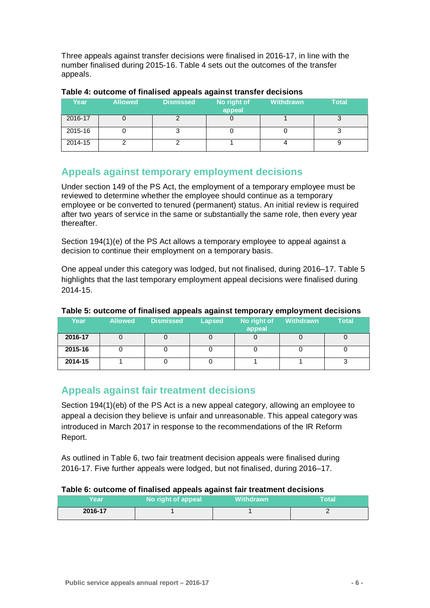Three appeals against transfer decisions were finalised in 2016-17, in line with the number finalised during 2015-16. Table 4 sets out the outcomes of the transfer appeals.

|         |                | .                |                       |           |              |
|---------|----------------|------------------|-----------------------|-----------|--------------|
| Year    | <b>Allowed</b> | <b>Dismissed</b> | No right of<br>appeal | Withdrawn | <b>Total</b> |
| 2016-17 |                |                  |                       |           |              |
| 2015-16 |                |                  |                       |           |              |
| 2014-15 |                |                  |                       |           |              |

#### **Table 4: outcome of finalised appeals against transfer decisions**

## <span id="page-9-0"></span>**Appeals against temporary employment decisions**

Under section 149 of the PS Act, the employment of a temporary employee must be reviewed to determine whether the employee should continue as a temporary employee or be converted to tenured (permanent) status. An initial review is required after two years of service in the same or substantially the same role, then every year thereafter.

Section 194(1)(e) of the PS Act allows a temporary employee to appeal against a decision to continue their employment on a temporary basis.

One appeal under this category was lodged, but not finalised, during 2016–17. Table 5 highlights that the last temporary employment appeal decisions were finalised during 2014-15.

| Year    | <b>Allowed</b> | <b>Dismissed</b> | <b>Lapsed</b> | No right of<br>appeal | <b>Withdrawn</b> | <b>Total</b> |
|---------|----------------|------------------|---------------|-----------------------|------------------|--------------|
| 2016-17 |                |                  |               |                       |                  |              |
| 2015-16 |                |                  |               |                       |                  |              |
| 2014-15 |                |                  |               |                       |                  |              |

### **Table 5: outcome of finalised appeals against temporary employment decisions**

## <span id="page-9-1"></span>**Appeals against fair treatment decisions**

Section 194(1)(eb) of the PS Act is a new appeal category, allowing an employee to appeal a decision they believe is unfair and unreasonable. This appeal category was introduced in March 2017 in response to the recommendations of the IR Reform Report.

As outlined in Table 6, two fair treatment decision appeals were finalised during 2016-17. Five further appeals were lodged, but not finalised, during 2016–17.

### **Table 6: outcome of finalised appeals against fair treatment decisions**

| Year    | No right of appeal | <b>Withdrawn</b> | <b>Total</b> |
|---------|--------------------|------------------|--------------|
| 2016-17 |                    |                  | -            |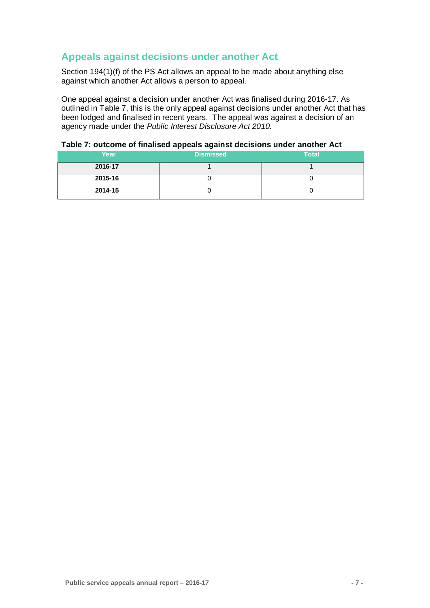# <span id="page-10-0"></span>**Appeals against decisions under another Act**

Section 194(1)(f) of the PS Act allows an appeal to be made about anything else against which another Act allows a person to appeal.

One appeal against a decision under another Act was finalised during 2016-17. As outlined in Table 7, this is the only appeal against decisions under another Act that has been lodged and finalised in recent years. The appeal was against a decision of an agency made under the *Public Interest Disclosure Act 2010.* 

## **Table 7: outcome of finalised appeals against decisions under another Act**

| Year    | <b>Dismissed</b> | <b>Total</b> |
|---------|------------------|--------------|
| 2016-17 |                  |              |
| 2015-16 |                  |              |
| 2014-15 |                  |              |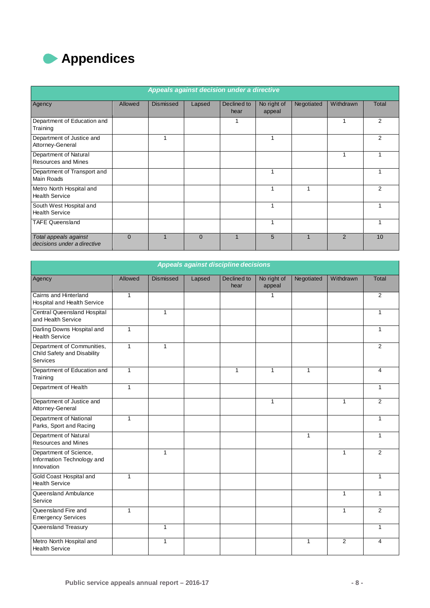<span id="page-11-0"></span>

|                                                      | Appeals against decision under a directive |                  |          |                     |                       |                         |               |                |
|------------------------------------------------------|--------------------------------------------|------------------|----------|---------------------|-----------------------|-------------------------|---------------|----------------|
| Agency                                               | <b>Allowed</b>                             | <b>Dismissed</b> | Lapsed   | Declined to<br>hear | No right of<br>appeal | Negotiated              | Withdrawn     | Total          |
| Department of Education and<br>Training              |                                            |                  |          |                     |                       |                         |               | $\overline{2}$ |
| Department of Justice and<br>Attorney-General        |                                            |                  |          |                     |                       |                         |               | 2              |
| Department of Natural<br><b>Resources and Mines</b>  |                                            |                  |          |                     |                       |                         | 1             |                |
| Department of Transport and<br>Main Roads            |                                            |                  |          |                     |                       |                         |               |                |
| Metro North Hospital and<br><b>Health Service</b>    |                                            |                  |          |                     | 4                     |                         |               | 2              |
| South West Hospital and<br><b>Health Service</b>     |                                            |                  |          |                     |                       |                         |               |                |
| <b>TAFE Queensland</b>                               |                                            |                  |          |                     |                       |                         |               |                |
| Total appeals against<br>decisions under a directive | $\Omega$                                   | $\overline{A}$   | $\Omega$ | $\overline{A}$      | 5                     | $\overline{\mathbf{A}}$ | $\mathcal{P}$ | 10             |

|                                                                       |              |                  |        | Appeals against discipline decisions |                       |              |                |              |
|-----------------------------------------------------------------------|--------------|------------------|--------|--------------------------------------|-----------------------|--------------|----------------|--------------|
| Agency                                                                | Allowed      | <b>Dismissed</b> | Lapsed | Declined to<br>hear                  | No right of<br>appeal | Negotiated   | Withdrawn      | <b>Total</b> |
| Cairns and Hinterland<br><b>Hospital and Health Service</b>           | 1            |                  |        |                                      | 1                     |              |                | 2            |
| Central Queensland Hospital<br>and Health Service                     |              | $\mathbf{1}$     |        |                                      |                       |              |                | 1            |
| Darling Downs Hospital and<br><b>Health Service</b>                   | $\mathbf{1}$ |                  |        |                                      |                       |              |                | $\mathbf{1}$ |
| Department of Communities,<br>Child Safety and Disability<br>Services | $\mathbf{1}$ | $\mathbf{1}$     |        |                                      |                       |              |                | 2            |
| Department of Education and<br>Training                               | $\mathbf{1}$ |                  |        | $\mathbf{1}$                         | $\mathbf{1}$          | $\mathbf{1}$ |                | 4            |
| Department of Health                                                  | $\mathbf{1}$ |                  |        |                                      |                       |              |                | $\mathbf{1}$ |
| Department of Justice and<br>Attorney-General                         |              |                  |        |                                      | $\mathbf{1}$          |              | 1              | 2            |
| Department of National<br>Parks, Sport and Racing                     | $\mathbf{1}$ |                  |        |                                      |                       |              |                | $\mathbf{1}$ |
| Department of Natural<br><b>Resources and Mines</b>                   |              |                  |        |                                      |                       | $\mathbf{1}$ |                | $\mathbf{1}$ |
| Department of Science,<br>Information Technology and<br>Innovation    |              | $\mathbf{1}$     |        |                                      |                       |              | $\mathbf{1}$   | 2            |
| Gold Coast Hospital and<br><b>Health Service</b>                      | $\mathbf{1}$ |                  |        |                                      |                       |              |                | 1            |
| Queensland Ambulance<br>Service                                       |              |                  |        |                                      |                       |              | $\mathbf{1}$   | 1            |
| Queensland Fire and<br><b>Emergency Services</b>                      | $\mathbf{1}$ |                  |        |                                      |                       |              | $\mathbf{1}$   | 2            |
| Queensland Treasury                                                   |              | $\mathbf{1}$     |        |                                      |                       |              |                | $\mathbf{1}$ |
| Metro North Hospital and<br><b>Health Service</b>                     |              | $\mathbf{1}$     |        |                                      |                       | 1            | $\overline{2}$ | 4            |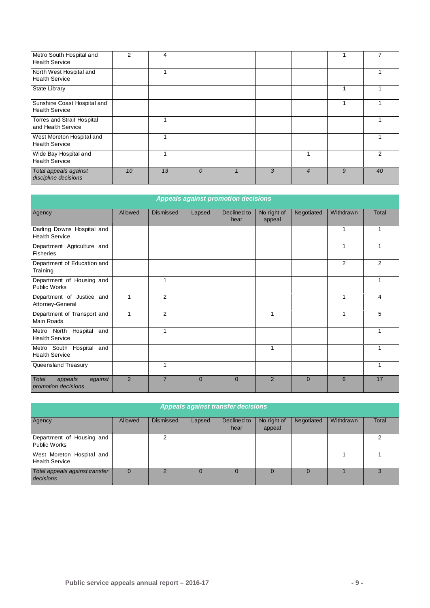| Metro South Hospital and<br><b>Health Service</b>    | 2  | 4  |                |   |                |   |    |
|------------------------------------------------------|----|----|----------------|---|----------------|---|----|
| North West Hospital and<br><b>Health Service</b>     |    |    |                |   |                |   |    |
| <b>State Library</b>                                 |    |    |                |   |                |   |    |
| Sunshine Coast Hospital and<br><b>Health Service</b> |    |    |                |   |                |   |    |
| Torres and Strait Hospital<br>and Health Service     |    |    |                |   |                |   |    |
| West Moreton Hospital and<br><b>Health Service</b>   |    |    |                |   |                |   |    |
| Wide Bay Hospital and<br><b>Health Service</b>       |    |    |                |   |                |   | 2  |
| Total appeals against<br>discipline decisions        | 10 | 13 | $\overline{0}$ | 3 | $\overline{4}$ | 9 | 40 |

| <b>Appeals against promotion decisions</b>          |                |                  |          |                     |                       |            |           |              |
|-----------------------------------------------------|----------------|------------------|----------|---------------------|-----------------------|------------|-----------|--------------|
| Agency                                              | Allowed        | <b>Dismissed</b> | Lapsed   | Declined to<br>hear | No right of<br>appeal | Negotiated | Withdrawn | <b>Total</b> |
| Darling Downs Hospital and<br><b>Health Service</b> |                |                  |          |                     |                       |            | 1         | 1            |
| Department Agriculture and<br><b>Fisheries</b>      |                |                  |          |                     |                       |            | 1         | 1            |
| Department of Education and<br>Training             |                |                  |          |                     |                       |            | 2         | 2            |
| Department of Housing and<br>Public Works           |                |                  |          |                     |                       |            |           | 1            |
| Department of Justice and<br>Attorney-General       | 1              | $\overline{2}$   |          |                     |                       |            | 1         | 4            |
| Department of Transport and<br>Main Roads           | $\mathbf{1}$   | $\overline{2}$   |          |                     | 1                     |            | 1         | 5            |
| Metro North Hospital and<br><b>Health Service</b>   |                | 1                |          |                     |                       |            |           |              |
| Metro South Hospital and<br><b>Health Service</b>   |                |                  |          |                     | 1                     |            |           | 1            |
| Queensland Treasury                                 |                | 1                |          |                     |                       |            |           | 1            |
| Total<br>appeals<br>against<br>promotion decisions  | $\overline{2}$ | $\overline{7}$   | $\Omega$ | $\Omega$            | $\overline{2}$        | $\Omega$   | 6         | 17           |

| <b>Appeals against transfer decisions</b>          |          |           |        |                     |                       |            |           |       |
|----------------------------------------------------|----------|-----------|--------|---------------------|-----------------------|------------|-----------|-------|
| Agency                                             | Allowed  | Dismissed | Lapsed | Declined to<br>hear | No right of<br>appeal | Negotiated | Withdrawn | Total |
| Department of Housing and<br><b>Public Works</b>   |          |           |        |                     |                       |            |           |       |
| West Moreton Hospital and<br><b>Health Service</b> |          |           |        |                     |                       |            |           |       |
| Total appeals against transfer<br>decisions        | $\Omega$ |           | 0      | $\Omega$            | $\Omega$              |            |           | 3     |